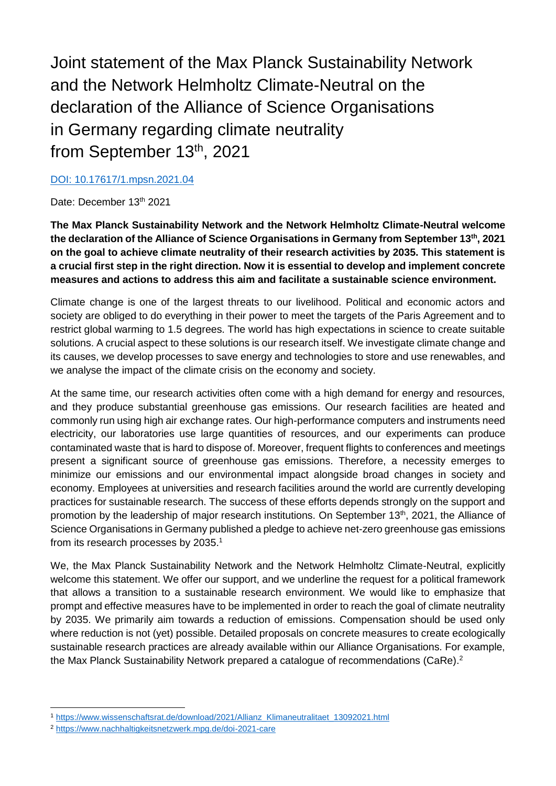Joint statement of the Max Planck Sustainability Network and the Network Helmholtz Climate-Neutral on the declaration of the Alliance of Science Organisations in Germany regarding climate neutrality from September 13<sup>th</sup>, 2021

## [DOI: 10.17617/1.mpsn.2021.04](https://doi.org/10.17617/1.mpsn.2021.04)

## Date: December 13th 2021

**The Max Planck Sustainability Network and the Network Helmholtz Climate-Neutral welcome the declaration of the Alliance of Science Organisations in Germany from September 13th, 2021 on the goal to achieve climate neutrality of their research activities by 2035. This statement is a crucial first step in the right direction. Now it is essential to develop and implement concrete measures and actions to address this aim and facilitate a sustainable science environment.** 

Climate change is one of the largest threats to our livelihood. Political and economic actors and society are obliged to do everything in their power to meet the targets of the Paris Agreement and to restrict global warming to 1.5 degrees. The world has high expectations in science to create suitable solutions. A crucial aspect to these solutions is our research itself. We investigate climate change and its causes, we develop processes to save energy and technologies to store and use renewables, and we analyse the impact of the climate crisis on the economy and society.

At the same time, our research activities often come with a high demand for energy and resources, and they produce substantial greenhouse gas emissions. Our research facilities are heated and commonly run using high air exchange rates. Our high-performance computers and instruments need electricity, our laboratories use large quantities of resources, and our experiments can produce contaminated waste that is hard to dispose of. Moreover, frequent flights to conferences and meetings present a significant source of greenhouse gas emissions. Therefore, a necessity emerges to minimize our emissions and our environmental impact alongside broad changes in society and economy. Employees at universities and research facilities around the world are currently developing practices for sustainable research. The success of these efforts depends strongly on the support and promotion by the leadership of major research institutions. On September 13<sup>th</sup>, 2021, the Alliance of Science Organisations in Germany published a pledge to achieve net-zero greenhouse gas emissions from its research processes by 2035.<sup>1</sup>

We, the Max Planck Sustainability Network and the Network Helmholtz Climate-Neutral, explicitly welcome this statement. We offer our support, and we underline the request for a political framework that allows a transition to a sustainable research environment. We would like to emphasize that prompt and effective measures have to be implemented in order to reach the goal of climate neutrality by 2035. We primarily aim towards a reduction of emissions. Compensation should be used only where reduction is not (yet) possible. Detailed proposals on concrete measures to create ecologically sustainable research practices are already available within our Alliance Organisations. For example, the Max Planck Sustainability Network prepared a catalogue of recommendations (CaRe).<sup>2</sup>

<sup>1</sup> [https://www.wissenschaftsrat.de/download/2021/Allianz\\_Klimaneutralitaet\\_13092021.html](https://www.wissenschaftsrat.de/download/2021/Allianz_Klimaneutralitaet_13092021.html)

<sup>2</sup> <https://www.nachhaltigkeitsnetzwerk.mpg.de/doi-2021-care>